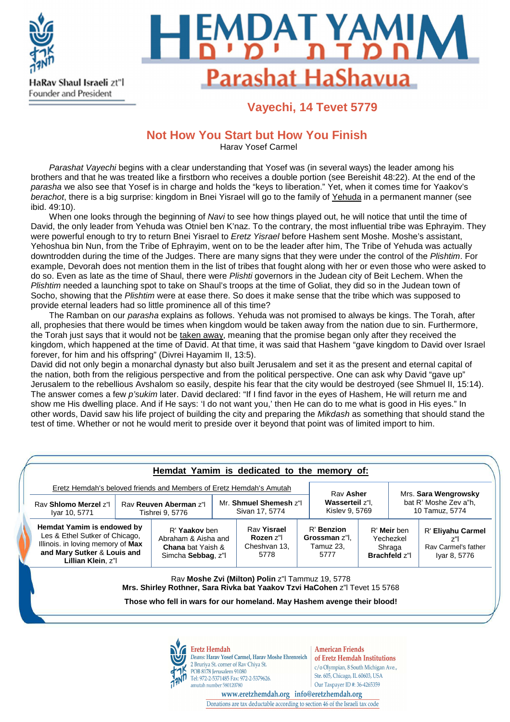



# **Vayechi, 14 Tevet 5779**

# **Not How You Start but How You Finish**

Harav Yosef Carmel

Parashat Vayechi begins with a clear understanding that Yosef was (in several ways) the leader among his brothers and that he was treated like a firstborn who receives a double portion (see Bereishit 48:22). At the end of the parasha we also see that Yosef is in charge and holds the "keys to liberation." Yet, when it comes time for Yaakov's berachot, there is a big surprise: kingdom in Bnei Yisrael will go to the family of Yehuda in a permanent manner (see ibid. 49:10).

When one looks through the beginning of Navi to see how things played out, he will notice that until the time of David, the only leader from Yehuda was Otniel ben K'naz. To the contrary, the most influential tribe was Ephrayim. They were powerful enough to try to return Bnei Yisrael to Eretz Yisrael before Hashem sent Moshe. Moshe's assistant, Yehoshua bin Nun, from the Tribe of Ephrayim, went on to be the leader after him, The Tribe of Yehuda was actually downtrodden during the time of the Judges. There are many signs that they were under the control of the Plishtim. For example, Devorah does not mention them in the list of tribes that fought along with her or even those who were asked to do so. Even as late as the time of Shaul, there were Plishti governors in the Judean city of Beit Lechem. When the Plishtim needed a launching spot to take on Shaul's troops at the time of Goliat, they did so in the Judean town of Socho, showing that the Plishtim were at ease there. So does it make sense that the tribe which was supposed to provide eternal leaders had so little prominence all of this time?

The Ramban on our *parasha* explains as follows. Yehuda was not promised to always be kings. The Torah, after all, prophesies that there would be times when kingdom would be taken away from the nation due to sin. Furthermore, the Torah just says that it would not be taken away, meaning that the promise began only after they received the kingdom, which happened at the time of David. At that time, it was said that Hashem "gave kingdom to David over Israel forever, for him and his offspring" (Divrei Hayamim II, 13:5).

David did not only begin a monarchal dynasty but also built Jerusalem and set it as the present and eternal capital of the nation, both from the religious perspective and from the political perspective. One can ask why David "gave up" Jerusalem to the rebellious Avshalom so easily, despite his fear that the city would be destroyed (see Shmuel II, 15:14). The answer comes a few p'sukim later. David declared: "If I find favor in the eyes of Hashem, He will return me and show me His dwelling place. And if He says: 'I do not want you,' then He can do to me what is good in His eyes." In other words, David saw his life project of building the city and preparing the Mikdash as something that should stand the test of time. Whether or not he would merit to preside over it beyond that point was of limited import to him.

|                                                                                                                                                        |                                           |                                                                                        |                                          | Hemdat Yamim is dedicated to the memory of:                                                                                                                                                              |                                                  |                                                            |                                         |                                                                 |
|--------------------------------------------------------------------------------------------------------------------------------------------------------|-------------------------------------------|----------------------------------------------------------------------------------------|------------------------------------------|----------------------------------------------------------------------------------------------------------------------------------------------------------------------------------------------------------|--------------------------------------------------|------------------------------------------------------------|-----------------------------------------|-----------------------------------------------------------------|
| Eretz Hemdah's beloved friends and Members of Eretz Hemdah's Amutah                                                                                    |                                           |                                                                                        |                                          |                                                                                                                                                                                                          | Rav Asher                                        |                                                            | Mrs. Sara Wengrowsky                    |                                                                 |
| Rav Shlomo Merzel z"<br>Iyar 10, 5771                                                                                                                  | Rav Reuven Aberman z"l<br>Tishrei 9, 5776 |                                                                                        | Mr. Shmuel Shemesh z"I<br>Sivan 17, 5774 |                                                                                                                                                                                                          | Wasserteil z"l.<br>Kislev 9, 5769                |                                                            | bat R' Moshe Zev a"h.<br>10 Tamuz, 5774 |                                                                 |
| Hemdat Yamim is endowed by<br>Les & Ethel Sutker of Chicago,<br>Illinois. in loving memory of Max<br>and Mary Sutker & Louis and<br>Lillian Klein, z"l |                                           | R' Yaakov ben<br>Abraham & Aisha and<br><b>Chana</b> bat Yaish &<br>Simcha Sebbag, z"I |                                          | Rav Yisrael<br>Rozen z"l<br>Cheshvan 13,<br>5778                                                                                                                                                         | R' Benzion<br>Grossman z"l.<br>Tamuz 23.<br>5777 | R' Meir ben<br>Yechezkel<br>Shraga<br><b>Brachfeld z"I</b> |                                         | R' Eliyahu Carmel<br>7"I<br>Ray Carmel's father<br>Iyar 8, 5776 |
|                                                                                                                                                        |                                           |                                                                                        |                                          | Rav Moshe Zvi (Milton) Polin z"I Tammuz 19, 5778<br>Mrs. Shirley Rothner, Sara Rivka bat Yaakov Tzvi HaCohen z" Tevet 15 5768<br>Those who fell in wars for our homeland. May Hashem avenge their blood! |                                                  |                                                            |                                         |                                                                 |



#### **Eretz Hemdah**

Deans: Harav Yosef Carmel, Harav Moshe Ehrenreich 2 Bruriya St. corner of Rav Chiya St. POB 8178 Jerusalem 91080 Tel: 972-2-5371485 Fax: 972-2-5379626 amutah number 580120780

### **American Friends** of Eretz Hemdah Institutions c/o Olympian, 8 South Michigan Ave.,

Ste. 605, Chicago, IL 60603, USA Our Taxpayer ID #: 36-4265359

www.eretzhemdah.org info@eretzhemdah.org

Donations are tax deductable according to section 46 of the Israeli tax code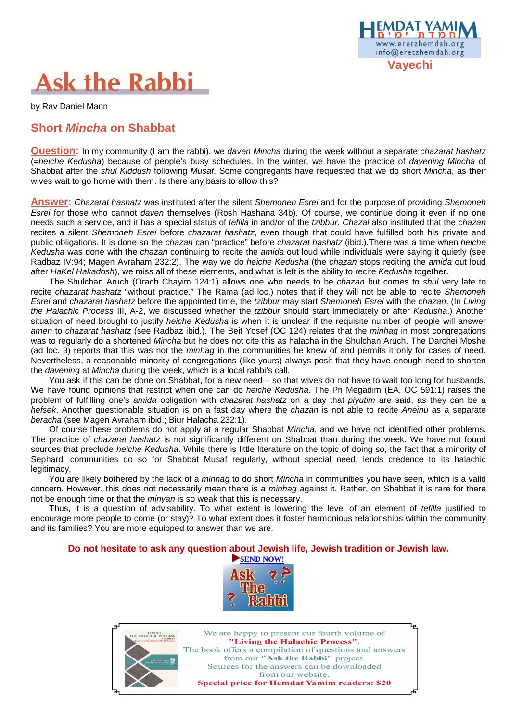

# **Ask the Rabbi**

by Rav Daniel Mann

## **Short Mincha on Shabbat**

**Question:** In my community (I am the rabbi), we *daven Mincha* during the week without a separate *chazarat hashatz* (=heiche Kedusha) because of people's busy schedules. In the winter, we have the practice of davening Mincha of Shabbat after the shul Kiddush following Musaf. Some congregants have requested that we do short Mincha, as their wives wait to go home with them. Is there any basis to allow this?

**Answer:** Chazarat hashatz was instituted after the silent Shemoneh Esrei and for the purpose of providing Shemoneh Esrei for those who cannot daven themselves (Rosh Hashana 34b). Of course, we continue doing it even if no one needs such a service, and it has a special status of tefilla in and/or of the tzibbur. Chazal also instituted that the chazan recites a silent Shemoneh Esrei before chazarat hashatz, even though that could have fulfilled both his private and public obligations. It is done so the chazan can "practice" before chazarat hashatz (ibid.). There was a time when heiche Kedusha was done with the chazan continuing to recite the amida out loud while individuals were saying it quietly (see Radbaz IV:94; Magen Avraham 232:2). The way we do heiche Kedusha (the chazan stops reciting the amida out loud after HaKel Hakadosh), we miss all of these elements, and what is left is the ability to recite Kedusha together.

The Shulchan Aruch (Orach Chayim 124:1) allows one who needs to be chazan but comes to shul very late to recite chazarat hashatz "without practice." The Rama (ad loc.) notes that if they will not be able to recite Shemoneh Esrei and chazarat hashatz before the appointed time, the tzibbur may start Shemoneh Esrei with the chazan. (In Living the Halachic Process III, A-2, we discussed whether the tzibbur should start immediately or after Kedusha.) Another situation of need brought to justify *heiche Kedusha* is when it is unclear if the requisite number of people will answer amen to chazarat hashatz (see Radbaz ibid.). The Beit Yosef (OC 124) relates that the minhag in most congregations was to regularly do a shortened *Mincha* but he does not cite this as halacha in the Shulchan Aruch. The Darchei Moshe (ad loc. 3) reports that this was not the *minhag* in the communities he knew of and permits it only for cases of need. Nevertheless, a reasonable minority of congregations (like yours) always posit that they have enough need to shorten the davening at Mincha during the week, which is a local rabbi's call.

You ask if this can be done on Shabbat, for a new need – so that wives do not have to wait too long for husbands. We have found opinions that restrict when one can do *heiche Kedusha*. The Pri Megadim (EA, OC 591:1) raises the problem of fulfilling one's amida obligation with chazarat hashatz on a day that piyutim are said, as they can be a hefsek. Another questionable situation is on a fast day where the *chazan* is not able to recite Aneinu as a separate beracha (see Magen Avraham ibid.; Biur Halacha 232:1).

Of course these problems do not apply at a regular Shabbat Mincha, and we have not identified other problems. The practice of chazarat hashatz is not significantly different on Shabbat than during the week. We have not found sources that preclude heiche Kedusha. While there is little literature on the topic of doing so, the fact that a minority of Sephardi communities do so for Shabbat Musaf regularly, without special need, lends credence to its halachic legitimacy.

You are likely bothered by the lack of a *minhag* to do short Mincha in communities you have seen, which is a valid concern. However, this does not necessarily mean there is a *minhag* against it. Rather, on Shabbat it is rare for there not be enough time or that the *minyan* is so weak that this is necessary.

Thus, it is a question of advisability. To what extent is lowering the level of an element of tefilla justified to encourage more people to come (or stay)? To what extent does it foster harmonious relationships within the community and its families? You are more equipped to answer than we are.

### **Do not hesitate to ask any question about Jewish life, Jewish tradition or Jewish law.**



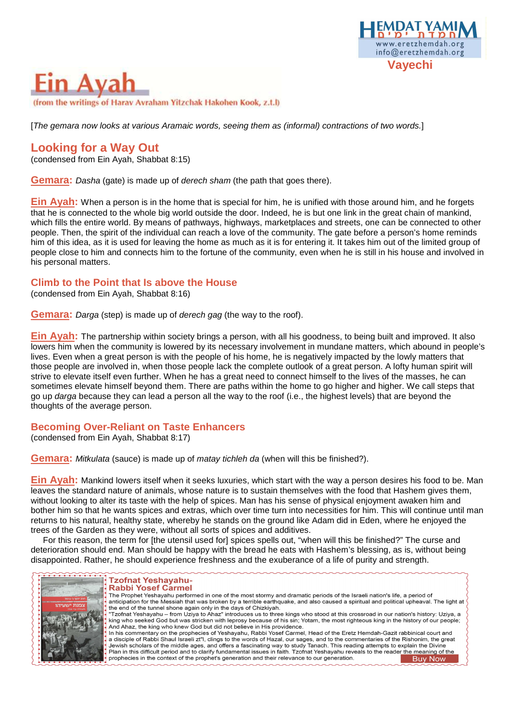

# in Ava (from the writings of Harav Avraham Yitzchak Hakohen Kook, z.t.l)

[The gemara now looks at various Aramaic words, seeing them as (informal) contractions of two words.]

## **Looking for a Way Out**

(condensed from Ein Ayah, Shabbat 8:15)

**Gemara:** Dasha (gate) is made up of derech sham (the path that goes there).

**Ein Ayah:** When a person is in the home that is special for him, he is unified with those around him, and he forgets that he is connected to the whole big world outside the door. Indeed, he is but one link in the great chain of mankind, which fills the entire world. By means of pathways, highways, marketplaces and streets, one can be connected to other people. Then, the spirit of the individual can reach a love of the community. The gate before a person's home reminds him of this idea, as it is used for leaving the home as much as it is for entering it. It takes him out of the limited group of people close to him and connects him to the fortune of the community, even when he is still in his house and involved in his personal matters.

### **Climb to the Point that Is above the House**

(condensed from Ein Ayah, Shabbat 8:16)

**Gemara:** Darga (step) is made up of *derech gag* (the way to the roof).

**Ein Ayah:** The partnership within society brings a person, with all his goodness, to being built and improved. It also lowers him when the community is lowered by its necessary involvement in mundane matters, which abound in people's lives. Even when a great person is with the people of his home, he is negatively impacted by the lowly matters that those people are involved in, when those people lack the complete outlook of a great person. A lofty human spirit will strive to elevate itself even further. When he has a great need to connect himself to the lives of the masses, he can sometimes elevate himself beyond them. There are paths within the home to go higher and higher. We call steps that go up darga because they can lead a person all the way to the roof (i.e., the highest levels) that are beyond the thoughts of the average person.

### **Becoming Over-Reliant on Taste Enhancers**

(condensed from Ein Ayah, Shabbat 8:17)

**Gemara:** Mitkulata (sauce) is made up of matay tichleh da (when will this be finished?).

**Ein Ayah:** Mankind lowers itself when it seeks luxuries, which start with the way a person desires his food to be. Man leaves the standard nature of animals, whose nature is to sustain themselves with the food that Hashem gives them, without looking to alter its taste with the help of spices. Man has his sense of physical enjoyment awaken him and bother him so that he wants spices and extras, which over time turn into necessities for him. This will continue until man returns to his natural, healthy state, whereby he stands on the ground like Adam did in Eden, where he enjoyed the trees of the Garden as they were, without all sorts of spices and additives.

For this reason, the term for [the utensil used for] spices spells out, "when will this be finished?" The curse and deterioration should end. Man should be happy with the bread he eats with Hashem's blessing, as is, without being disappointed. Rather, he should experience freshness and the exuberance of a life of purity and strength.